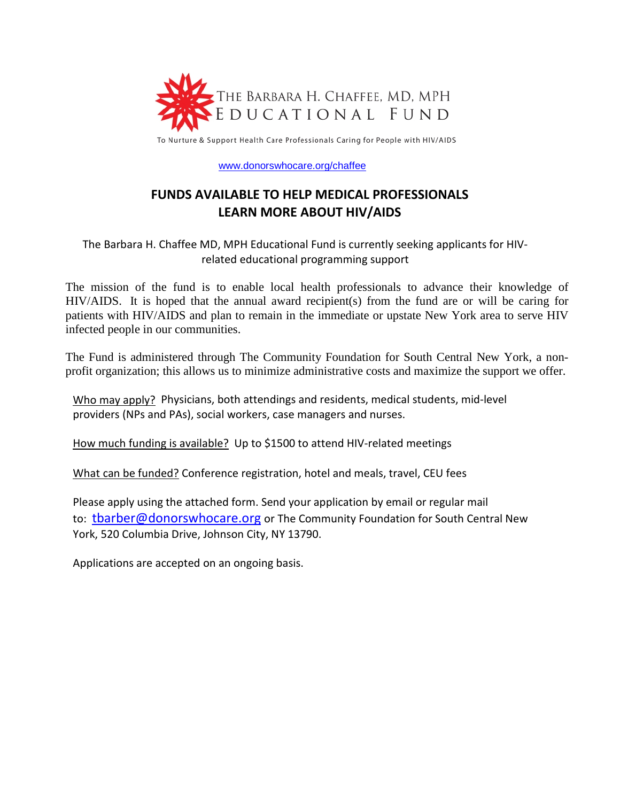

To Nurture & Support Health Care Professionals Caring for People with HIV/AIDS

[www.donorswhocare.org/chaffee](http://www.donorswhocare.org/chaffee)

## **FUNDS AVAILABLE TO HELP MEDICAL PROFESSIONALS LEARN MORE ABOUT HIV/AIDS**

## The Barbara H. Chaffee MD, MPH Educational Fund is currently seeking applicants for HIVrelated educational programming support

The mission of the fund is to enable local health professionals to advance their knowledge of HIV/AIDS. It is hoped that the annual award recipient(s) from the fund are or will be caring for patients with HIV/AIDS and plan to remain in the immediate or upstate New York area to serve HIV infected people in our communities.

The Fund is administered through The Community Foundation for South Central New York, a nonprofit organization; this allows us to minimize administrative costs and maximize the support we offer.

Who may apply? Physicians, both attendings and residents, medical students, mid-level providers (NPs and PAs), social workers, case managers and nurses.

How much funding is available? Up to \$1500 to attend HIV-related meetings

What can be funded? Conference registration, hotel and meals, travel, CEU fees

Please apply using the attached form. Send your application by email or regular mail to: tharber@donorswhocare.org or The Community Foundation for South Central New York, 520 Columbia Drive, Johnson City, NY 13790.

Applications are accepted on an ongoing basis.